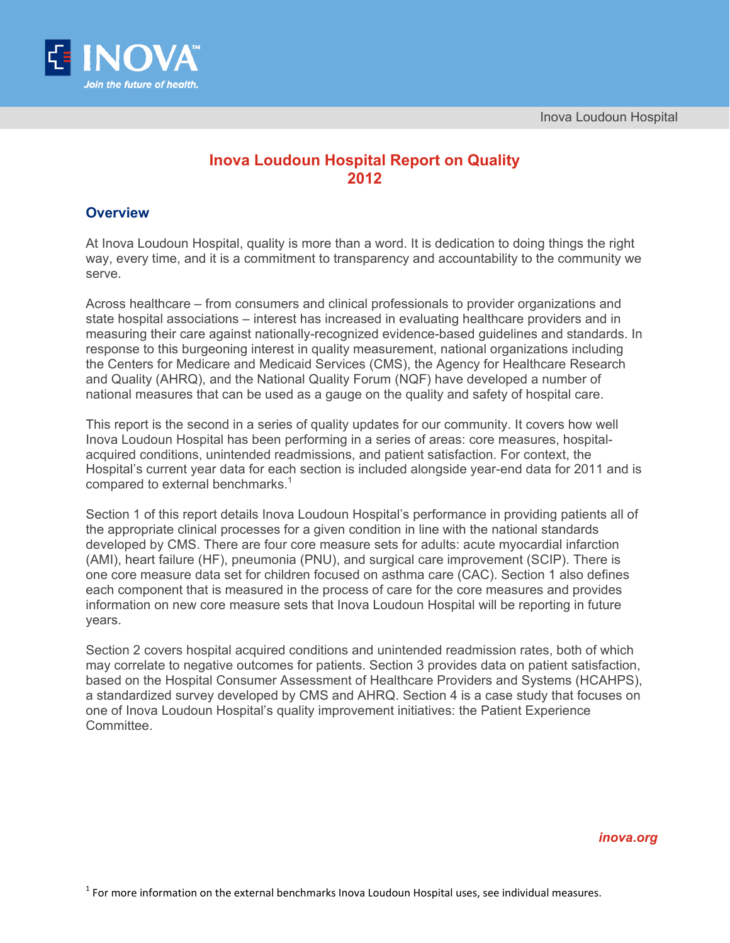

# **Inova Loudoun Hospital Report on Quality 2012**

## **Overview**

At Inova Loudoun Hospital, quality is more than a word. It is dedication to doing things the right way, every time, and it is a commitment to transparency and accountability to the community we serve.

Across healthcare – from consumers and clinical professionals to provider organizations and state hospital associations – interest has increased in evaluating healthcare providers and in measuring their care against nationally-recognized evidence-based guidelines and standards. In response to this burgeoning interest in quality measurement, national organizations including the Centers for Medicare and Medicaid Services (CMS), the Agency for Healthcare Research and Quality (AHRQ), and the National Quality Forum (NQF) have developed a number of national measures that can be used as a gauge on the quality and safety of hospital care.

This report is the second in a series of quality updates for our community. It covers how well Inova Loudoun Hospital has been performing in a series of areas: core measures, hospitalacquired conditions, unintended readmissions, and patient satisfaction. For context, the Hospital's current year data for each section is included alongside year-end data for 2011 and is compared to external benchmarks.<sup>1</sup>

Section 1 of this report details Inova Loudoun Hospital's performance in providing patients all of the appropriate clinical processes for a given condition in line with the national standards developed by CMS. There are four core measure sets for adults: acute myocardial infarction (AMI), heart failure (HF), pneumonia (PNU), and surgical care improvement (SCIP). There is one core measure data set for children focused on asthma care (CAC). Section 1 also defines each component that is measured in the process of care for the core measures and provides information on new core measure sets that Inova Loudoun Hospital will be reporting in future years.

Section 2 covers hospital acquired conditions and unintended readmission rates, both of which may correlate to negative outcomes for patients. Section 3 provides data on patient satisfaction, based on the Hospital Consumer Assessment of Healthcare Providers and Systems (HCAHPS), a standardized survey developed by CMS and AHRQ. Section 4 is a case study that focuses on one of Inova Loudoun Hospital's quality improvement initiatives: the Patient Experience Committee.

*inova.org*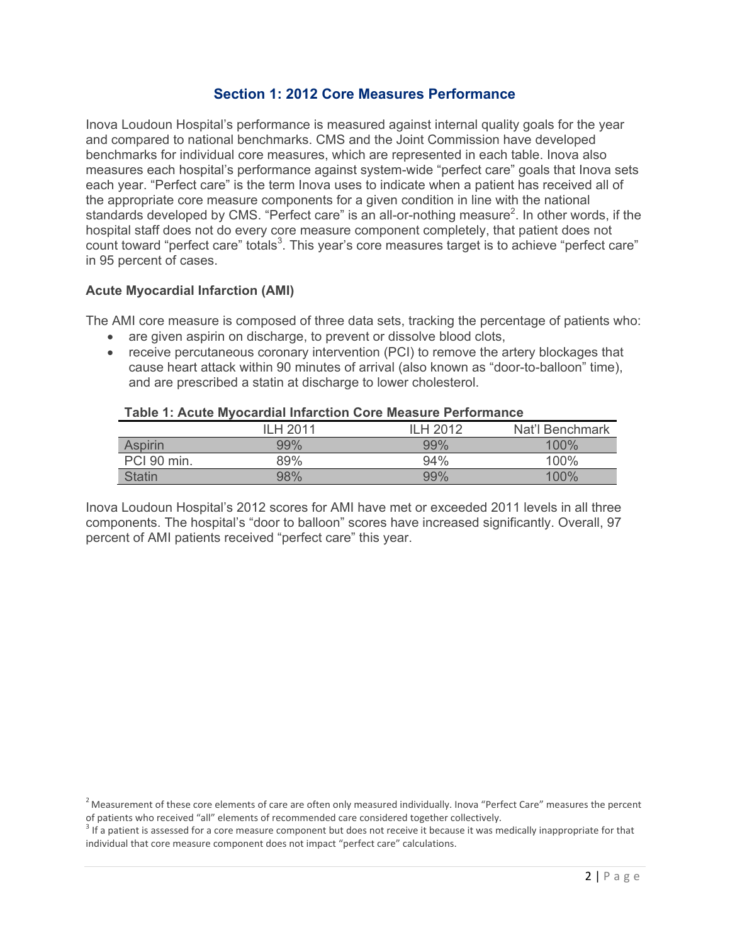## **Section 1: 2012 Core Measures Performance**

Inova Loudoun Hospital's performance is measured against internal quality goals for the year and compared to national benchmarks. CMS and the Joint Commission have developed benchmarks for individual core measures, which are represented in each table. Inova also measures each hospital's performance against system-wide "perfect care" goals that Inova sets each year. "Perfect care" is the term Inova uses to indicate when a patient has received all of the appropriate core measure components for a given condition in line with the national standards developed by CMS. "Perfect care" is an all-or-nothing measure<sup>2</sup>. In other words, if the hospital staff does not do every core measure component completely, that patient does not count toward "perfect care" totals<sup>3</sup>. This year's core measures target is to achieve "perfect care" in 95 percent of cases.

#### **Acute Myocardial Infarction (AMI)**

The AMI core measure is composed of three data sets, tracking the percentage of patients who:

- are given aspirin on discharge, to prevent or dissolve blood clots,
- receive percutaneous coronary intervention (PCI) to remove the artery blockages that cause heart attack within 90 minutes of arrival (also known as "door-to-balloon" time), and are prescribed a statin at discharge to lower cholesterol.

| .              |                 |           |                 |
|----------------|-----------------|-----------|-----------------|
|                | <b>ILH 2011</b> | II H 2012 | Nat'l Benchmark |
| <b>Aspirin</b> | 99%             | 99%       | 100%            |
| PCI 90 min.    | 89%             | 94%       | 100%            |
| Statin         | 98%             | 99%       | 100%            |

#### **Table 1: Acute Myocardial Infarction Core Measure Performance**

Inova Loudoun Hospital's 2012 scores for AMI have met or exceeded 2011 levels in all three components. The hospital's "door to balloon" scores have increased significantly. Overall, 97 percent of AMI patients received "perfect care" this year.

 $^2$ Measurement of these core elements of care are often only measured individually. Inova "Perfect Care" measures the percent of patients who received "all" elements of recommended care considered together collectively.<br><sup>3</sup> If a patient is assessed for a core measure component but does not receive it because it was medically inappropriate for tha

individual that core measure component does not impact "perfect care" calculations.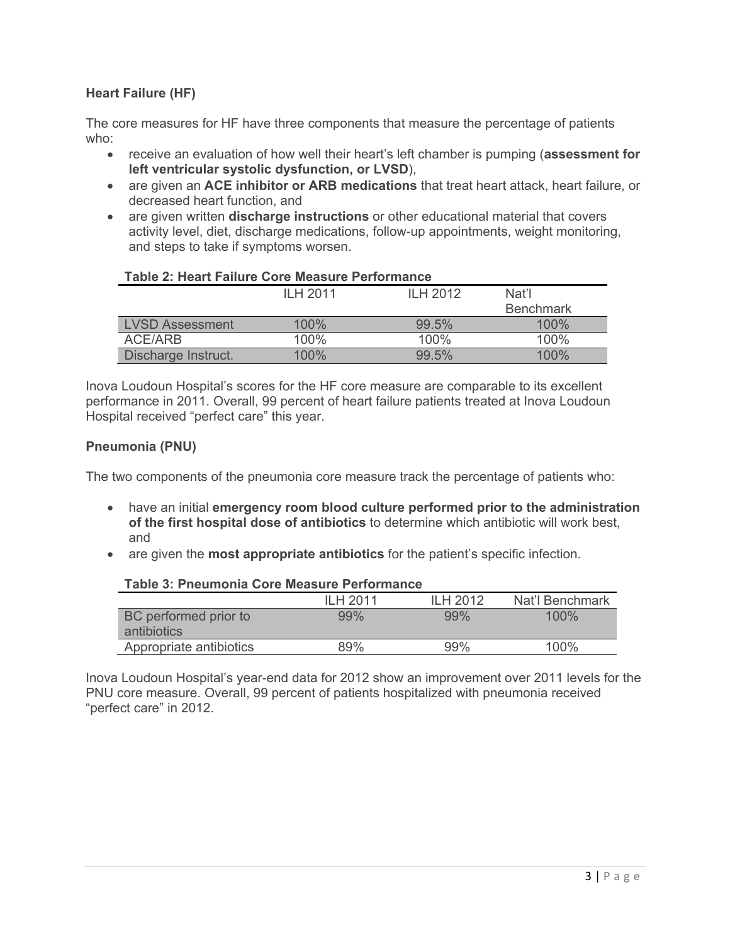## **Heart Failure (HF)**

The core measures for HF have three components that measure the percentage of patients who:

- receive an evaluation of how well their heart's left chamber is pumping (**assessment for left ventricular systolic dysfunction, or LVSD**),
- are given an **ACE inhibitor or ARB medications** that treat heart attack, heart failure, or decreased heart function, and
- are given written **discharge instructions** or other educational material that covers activity level, diet, discharge medications, follow-up appointments, weight monitoring, and steps to take if symptoms worsen.

## **Table 2: Heart Failure Core Measure Performance**

|                        | ILH 2011 | ILH 2012 | Nat'l            |
|------------------------|----------|----------|------------------|
|                        |          |          | <b>Benchmark</b> |
| <b>LVSD Assessment</b> | 100%     | 99.5%    | 100%             |
| ACE/ARB                | 100%     | 100%     | 100%             |
| Discharge Instruct.    | 100%     | 99.5%    | $100\%$          |

Inova Loudoun Hospital's scores for the HF core measure are comparable to its excellent performance in 2011. Overall, 99 percent of heart failure patients treated at Inova Loudoun Hospital received "perfect care" this year.

## **Pneumonia (PNU)**

The two components of the pneumonia core measure track the percentage of patients who:

- have an initial **emergency room blood culture performed prior to the administration of the first hospital dose of antibiotics** to determine which antibiotic will work best, and
- are given the **most appropriate antibiotics** for the patient's specific infection.

#### **Table 3: Pneumonia Core Measure Performance**

|                                      | ILH 2011 | ILH 2012 | Nat'l Benchmark |
|--------------------------------------|----------|----------|-----------------|
| BC performed prior to<br>antibiotics | 99%      | 99%      | 100%            |
| Appropriate antibiotics              | 89%      | 99%      | 100%            |

Inova Loudoun Hospital's year-end data for 2012 show an improvement over 2011 levels for the PNU core measure. Overall, 99 percent of patients hospitalized with pneumonia received "perfect care" in 2012.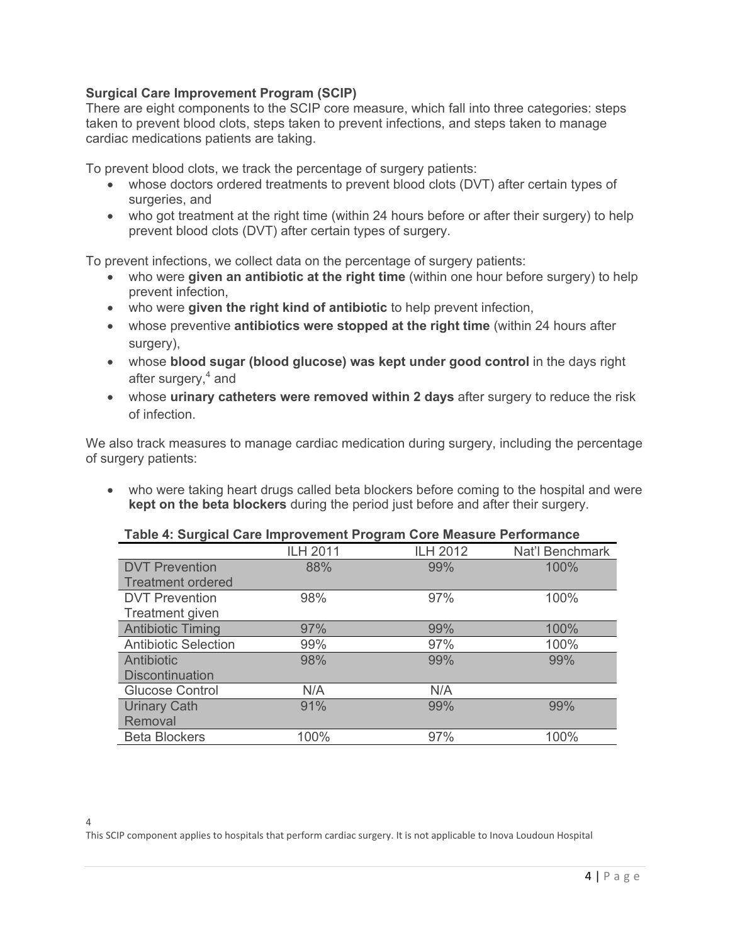#### **Surgical Care Improvement Program (SCIP)**

There are eight components to the SCIP core measure, which fall into three categories: steps taken to prevent blood clots, steps taken to prevent infections, and steps taken to manage cardiac medications patients are taking.

To prevent blood clots, we track the percentage of surgery patients:

- whose doctors ordered treatments to prevent blood clots (DVT) after certain types of surgeries, and
- who got treatment at the right time (within 24 hours before or after their surgery) to help prevent blood clots (DVT) after certain types of surgery.

To prevent infections, we collect data on the percentage of surgery patients:

- who were **given an antibiotic at the right time** (within one hour before surgery) to help prevent infection,
- who were **given the right kind of antibiotic** to help prevent infection,
- whose preventive **antibiotics were stopped at the right time** (within 24 hours after surgery),
- whose **blood sugar (blood glucose) was kept under good control** in the days right after surgery,<sup>4</sup> and
- whose **urinary catheters were removed within 2 days** after surgery to reduce the risk of infection.

We also track measures to manage cardiac medication during surgery, including the percentage of surgery patients:

 who were taking heart drugs called beta blockers before coming to the hospital and were **kept on the beta blockers** during the period just before and after their surgery.

#### **Table 4: Surgical Care Improvement Program Core Measure Performance**

|                             | <b>ILH 2011</b> | <b>ILH 2012</b> | Nat'l Benchmark |
|-----------------------------|-----------------|-----------------|-----------------|
| <b>DVT Prevention</b>       | 88%             | 99%             | 100%            |
| <b>Treatment ordered</b>    |                 |                 |                 |
| <b>DVT Prevention</b>       | 98%             | 97%             | 100%            |
| Treatment given             |                 |                 |                 |
| <b>Antibiotic Timing</b>    | 97%             | 99%             | 100%            |
| <b>Antibiotic Selection</b> | 99%             | 97%             | 100%            |
| Antibiotic                  | 98%             | 99%             | 99%             |
| <b>Discontinuation</b>      |                 |                 |                 |
| <b>Glucose Control</b>      | N/A             | N/A             |                 |
| <b>Urinary Cath</b>         | 91%             | 99%             | 99%             |
| Removal                     |                 |                 |                 |
| <b>Beta Blockers</b>        | 100%            | 97%             | 100%            |

4 This SCIP component applies to hospitals that perform cardiac surgery. It is not applicable to Inova Loudoun Hospital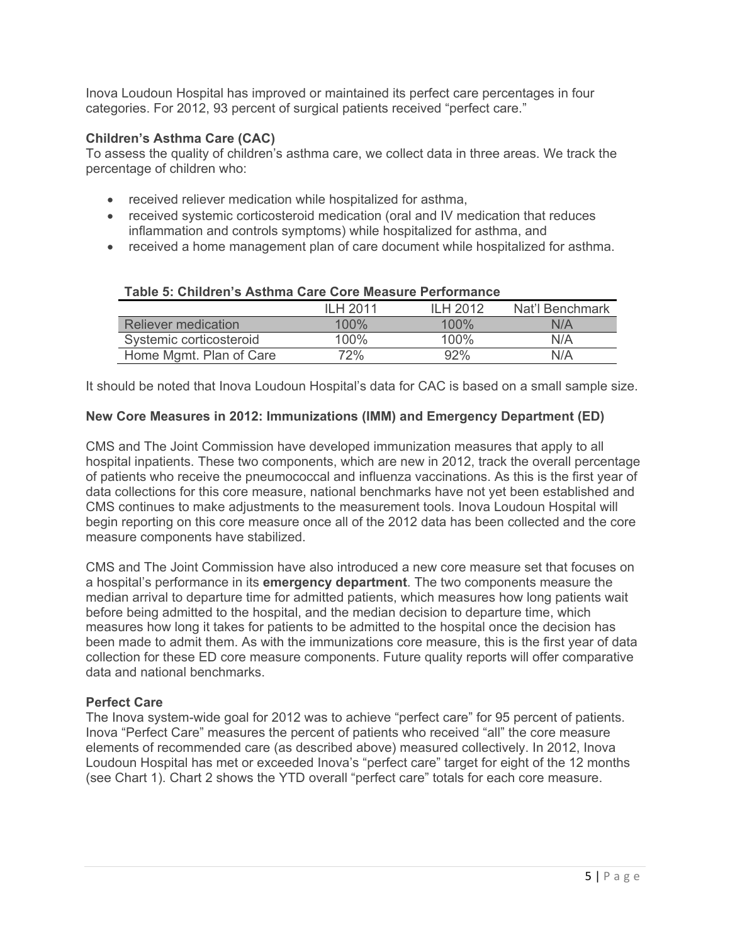Inova Loudoun Hospital has improved or maintained its perfect care percentages in four categories. For 2012, 93 percent of surgical patients received "perfect care."

#### **Children's Asthma Care (CAC)**

To assess the quality of children's asthma care, we collect data in three areas. We track the percentage of children who:

- received reliever medication while hospitalized for asthma,
- received systemic corticosteroid medication (oral and IV medication that reduces inflammation and controls symptoms) while hospitalized for asthma, and
- received a home management plan of care document while hospitalized for asthma.

|                            | II H 2011 | II H 2012 | Nat'l Benchmark |
|----------------------------|-----------|-----------|-----------------|
| <b>Reliever medication</b> | $100\%$   | $100\%$   | N/A             |
| Systemic corticosteroid    | $100\%$   | $100\%$   | N/A             |
| Home Mgmt. Plan of Care    | 72%       | 92%       | N/A             |

#### **Table 5: Children's Asthma Care Core Measure Performance**

It should be noted that Inova Loudoun Hospital's data for CAC is based on a small sample size.

#### **New Core Measures in 2012: Immunizations (IMM) and Emergency Department (ED)**

CMS and The Joint Commission have developed immunization measures that apply to all hospital inpatients. These two components, which are new in 2012, track the overall percentage of patients who receive the pneumococcal and influenza vaccinations. As this is the first year of data collections for this core measure, national benchmarks have not yet been established and CMS continues to make adjustments to the measurement tools. Inova Loudoun Hospital will begin reporting on this core measure once all of the 2012 data has been collected and the core measure components have stabilized.

CMS and The Joint Commission have also introduced a new core measure set that focuses on a hospital's performance in its **emergency department**. The two components measure the median arrival to departure time for admitted patients, which measures how long patients wait before being admitted to the hospital, and the median decision to departure time, which measures how long it takes for patients to be admitted to the hospital once the decision has been made to admit them. As with the immunizations core measure, this is the first year of data collection for these ED core measure components. Future quality reports will offer comparative data and national benchmarks.

#### **Perfect Care**

The Inova system-wide goal for 2012 was to achieve "perfect care" for 95 percent of patients. Inova "Perfect Care" measures the percent of patients who received "all" the core measure elements of recommended care (as described above) measured collectively. In 2012, Inova Loudoun Hospital has met or exceeded Inova's "perfect care" target for eight of the 12 months (see Chart 1). Chart 2 shows the YTD overall "perfect care" totals for each core measure.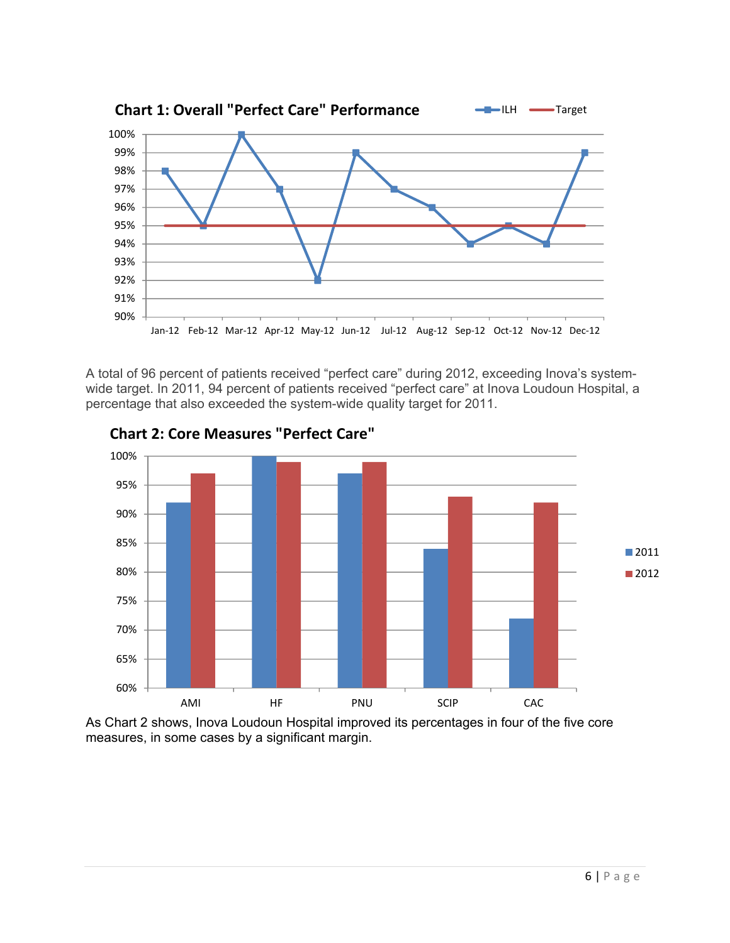

A total of 96 percent of patients received "perfect care" during 2012, exceeding Inova's systemwide target. In 2011, 94 percent of patients received "perfect care" at Inova Loudoun Hospital, a percentage that also exceeded the system-wide quality target for 2011.



**Chart 2: Core Measures "Perfect Care"**

As Chart 2 shows, Inova Loudoun Hospital improved its percentages in four of the five core measures, in some cases by a significant margin.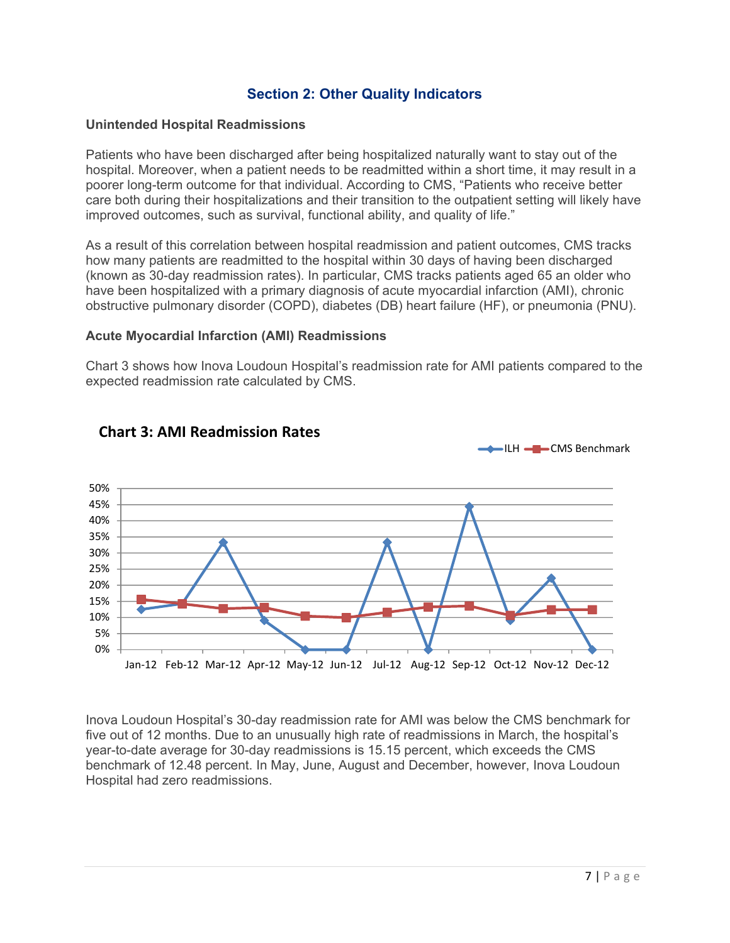## **Section 2: Other Quality Indicators**

#### **Unintended Hospital Readmissions**

Patients who have been discharged after being hospitalized naturally want to stay out of the hospital. Moreover, when a patient needs to be readmitted within a short time, it may result in a poorer long-term outcome for that individual. According to CMS, "Patients who receive better care both during their hospitalizations and their transition to the outpatient setting will likely have improved outcomes, such as survival, functional ability, and quality of life."

As a result of this correlation between hospital readmission and patient outcomes, CMS tracks how many patients are readmitted to the hospital within 30 days of having been discharged (known as 30-day readmission rates). In particular, CMS tracks patients aged 65 an older who have been hospitalized with a primary diagnosis of acute myocardial infarction (AMI), chronic obstructive pulmonary disorder (COPD), diabetes (DB) heart failure (HF), or pneumonia (PNU).

#### **Acute Myocardial Infarction (AMI) Readmissions**

Chart 3 shows how Inova Loudoun Hospital's readmission rate for AMI patients compared to the expected readmission rate calculated by CMS.



## **Chart 3: AMI Readmission Rates**

Inova Loudoun Hospital's 30-day readmission rate for AMI was below the CMS benchmark for five out of 12 months. Due to an unusually high rate of readmissions in March, the hospital's year-to-date average for 30-day readmissions is 15.15 percent, which exceeds the CMS benchmark of 12.48 percent. In May, June, August and December, however, Inova Loudoun Hospital had zero readmissions.

 $=$ ILH  $=$   $\blacksquare$  CMS Benchmark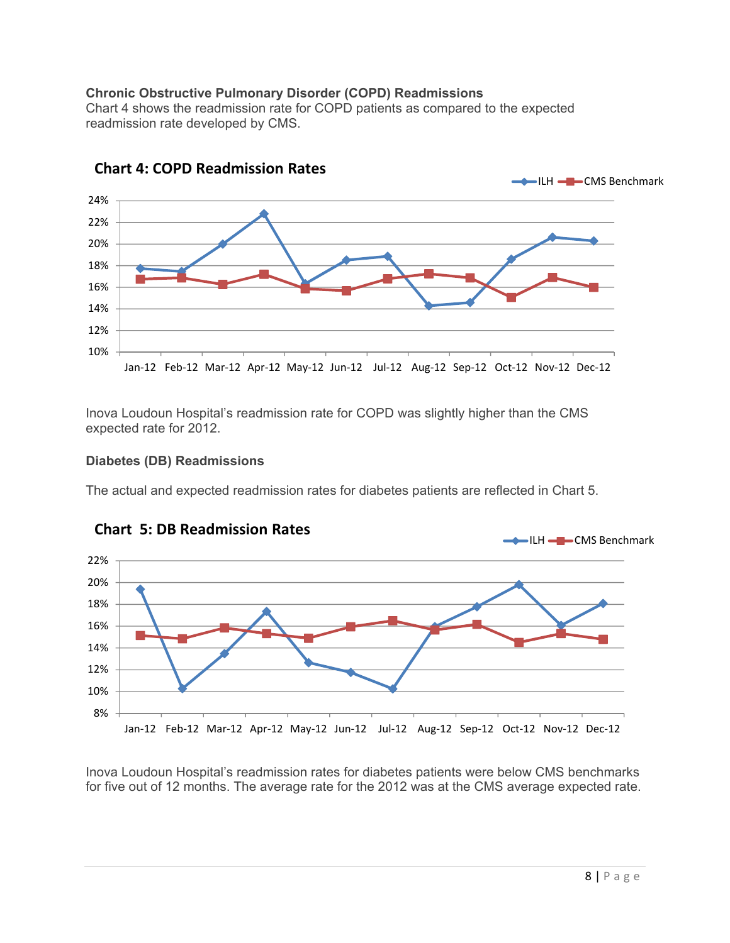## **Chronic Obstructive Pulmonary Disorder (COPD) Readmissions**

Chart 4 shows the readmission rate for COPD patients as compared to the expected readmission rate developed by CMS.



**Chart 4: COPD Readmission Rates**

Inova Loudoun Hospital's readmission rate for COPD was slightly higher than the CMS expected rate for 2012.

#### **Diabetes (DB) Readmissions**

The actual and expected readmission rates for diabetes patients are reflected in Chart 5.





Inova Loudoun Hospital's readmission rates for diabetes patients were below CMS benchmarks for five out of 12 months. The average rate for the 2012 was at the CMS average expected rate.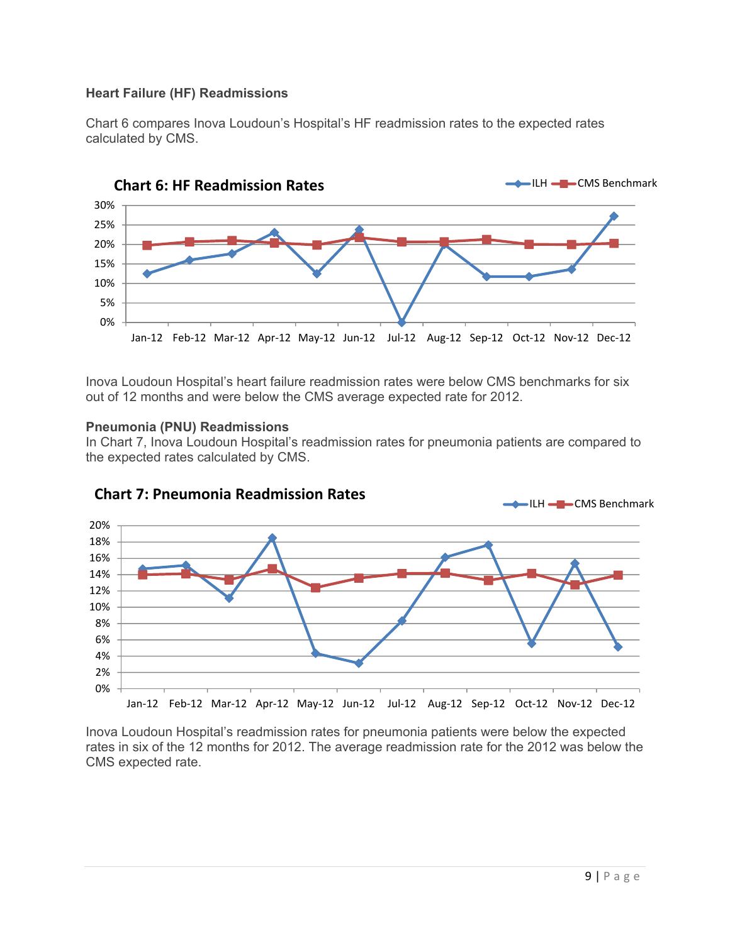## **Heart Failure (HF) Readmissions**

Chart 6 compares Inova Loudoun's Hospital's HF readmission rates to the expected rates calculated by CMS.



Inova Loudoun Hospital's heart failure readmission rates were below CMS benchmarks for six out of 12 months and were below the CMS average expected rate for 2012.

#### **Pneumonia (PNU) Readmissions**

In Chart 7, Inova Loudoun Hospital's readmission rates for pneumonia patients are compared to the expected rates calculated by CMS.



# **Chart 7: Pneumonia Readmission Rates**

Inova Loudoun Hospital's readmission rates for pneumonia patients were below the expected rates in six of the 12 months for 2012. The average readmission rate for the 2012 was below the CMS expected rate.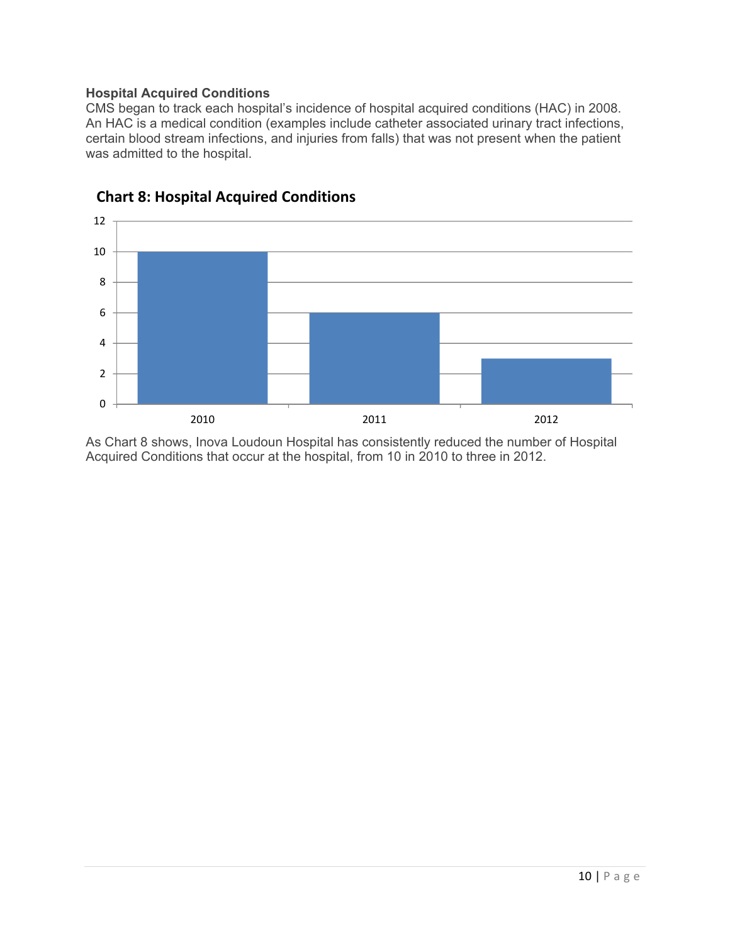## **Hospital Acquired Conditions**

CMS began to track each hospital's incidence of hospital acquired conditions (HAC) in 2008. An HAC is a medical condition (examples include catheter associated urinary tract infections, certain blood stream infections, and injuries from falls) that was not present when the patient was admitted to the hospital.



## **Chart 8: Hospital Acquired Conditions**

As Chart 8 shows, Inova Loudoun Hospital has consistently reduced the number of Hospital Acquired Conditions that occur at the hospital, from 10 in 2010 to three in 2012.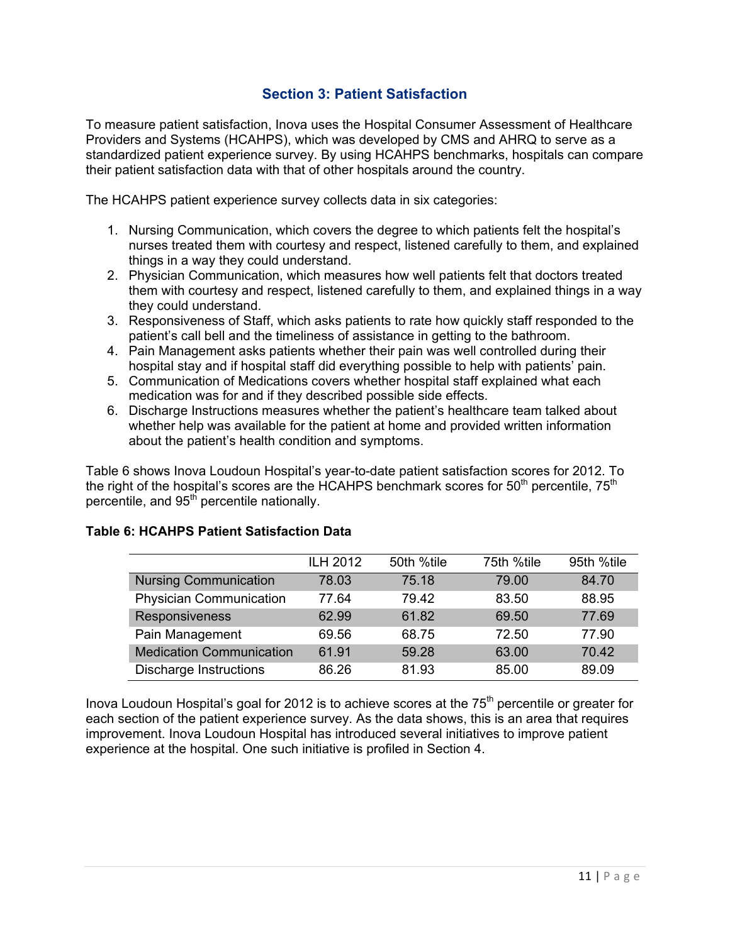## **Section 3: Patient Satisfaction**

To measure patient satisfaction, Inova uses the Hospital Consumer Assessment of Healthcare Providers and Systems (HCAHPS), which was developed by CMS and AHRQ to serve as a standardized patient experience survey. By using HCAHPS benchmarks, hospitals can compare their patient satisfaction data with that of other hospitals around the country.

The HCAHPS patient experience survey collects data in six categories:

- 1. Nursing Communication, which covers the degree to which patients felt the hospital's nurses treated them with courtesy and respect, listened carefully to them, and explained things in a way they could understand.
- 2. Physician Communication, which measures how well patients felt that doctors treated them with courtesy and respect, listened carefully to them, and explained things in a way they could understand.
- 3. Responsiveness of Staff, which asks patients to rate how quickly staff responded to the patient's call bell and the timeliness of assistance in getting to the bathroom.
- 4. Pain Management asks patients whether their pain was well controlled during their hospital stay and if hospital staff did everything possible to help with patients' pain.
- 5. Communication of Medications covers whether hospital staff explained what each medication was for and if they described possible side effects.
- 6. Discharge Instructions measures whether the patient's healthcare team talked about whether help was available for the patient at home and provided written information about the patient's health condition and symptoms.

Table 6 shows Inova Loudoun Hospital's year-to-date patient satisfaction scores for 2012. To the right of the hospital's scores are the HCAHPS benchmark scores for  $50<sup>th</sup>$  percentile,  $75<sup>th</sup>$ percentile, and 95<sup>th</sup> percentile nationally.

|                                 | <b>ILH 2012</b> | 50th %tile | 75th %tile | 95th %tile |
|---------------------------------|-----------------|------------|------------|------------|
| <b>Nursing Communication</b>    | 78.03           | 75.18      | 79.00      | 84.70      |
| <b>Physician Communication</b>  | 77.64           | 79.42      | 83.50      | 88.95      |
| Responsiveness                  | 62.99           | 61.82      | 69.50      | 77.69      |
| Pain Management                 | 69.56           | 68.75      | 72.50      | 77.90      |
| <b>Medication Communication</b> | 61.91           | 59.28      | 63.00      | 70.42      |
| <b>Discharge Instructions</b>   | 86.26           | 81.93      | 85.00      | 89.09      |

## **Table 6: HCAHPS Patient Satisfaction Data**

Inova Loudoun Hospital's goal for 2012 is to achieve scores at the 75<sup>th</sup> percentile or greater for each section of the patient experience survey. As the data shows, this is an area that requires improvement. Inova Loudoun Hospital has introduced several initiatives to improve patient experience at the hospital. One such initiative is profiled in Section 4.